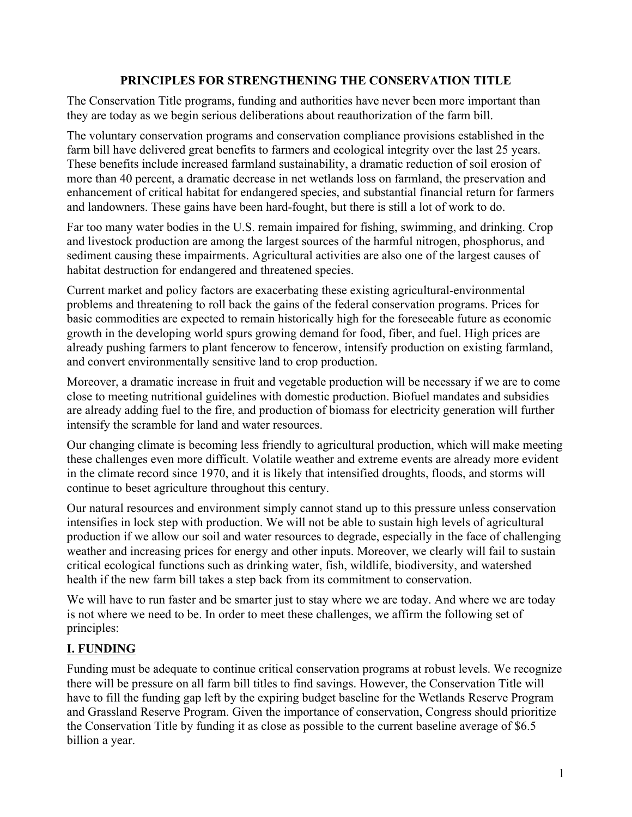#### **PRINCIPLES FOR STRENGTHENING THE CONSERVATION TITLE**

The Conservation Title programs, funding and authorities have never been more important than they are today as we begin serious deliberations about reauthorization of the farm bill.

The voluntary conservation programs and conservation compliance provisions established in the farm bill have delivered great benefits to farmers and ecological integrity over the last 25 years. These benefits include increased farmland sustainability, a dramatic reduction of soil erosion of more than 40 percent, a dramatic decrease in net wetlands loss on farmland, the preservation and enhancement of critical habitat for endangered species, and substantial financial return for farmers and landowners. These gains have been hard-fought, but there is still a lot of work to do.

Far too many water bodies in the U.S. remain impaired for fishing, swimming, and drinking. Crop and livestock production are among the largest sources of the harmful nitrogen, phosphorus, and sediment causing these impairments. Agricultural activities are also one of the largest causes of habitat destruction for endangered and threatened species.

Current market and policy factors are exacerbating these existing agricultural-environmental problems and threatening to roll back the gains of the federal conservation programs. Prices for basic commodities are expected to remain historically high for the foreseeable future as economic growth in the developing world spurs growing demand for food, fiber, and fuel. High prices are already pushing farmers to plant fencerow to fencerow, intensify production on existing farmland, and convert environmentally sensitive land to crop production.

Moreover, a dramatic increase in fruit and vegetable production will be necessary if we are to come close to meeting nutritional guidelines with domestic production. Biofuel mandates and subsidies are already adding fuel to the fire, and production of biomass for electricity generation will further intensify the scramble for land and water resources.

Our changing climate is becoming less friendly to agricultural production, which will make meeting these challenges even more difficult. Volatile weather and extreme events are already more evident in the climate record since 1970, and it is likely that intensified droughts, floods, and storms will continue to beset agriculture throughout this century.

Our natural resources and environment simply cannot stand up to this pressure unless conservation intensifies in lock step with production. We will not be able to sustain high levels of agricultural production if we allow our soil and water resources to degrade, especially in the face of challenging weather and increasing prices for energy and other inputs. Moreover, we clearly will fail to sustain critical ecological functions such as drinking water, fish, wildlife, biodiversity, and watershed health if the new farm bill takes a step back from its commitment to conservation.

We will have to run faster and be smarter just to stay where we are today. And where we are today is not where we need to be. In order to meet these challenges, we affirm the following set of principles:

# **I. FUNDING**

Funding must be adequate to continue critical conservation programs at robust levels. We recognize there will be pressure on all farm bill titles to find savings. However, the Conservation Title will have to fill the funding gap left by the expiring budget baseline for the Wetlands Reserve Program and Grassland Reserve Program. Given the importance of conservation, Congress should prioritize the Conservation Title by funding it as close as possible to the current baseline average of \$6.5 billion a year.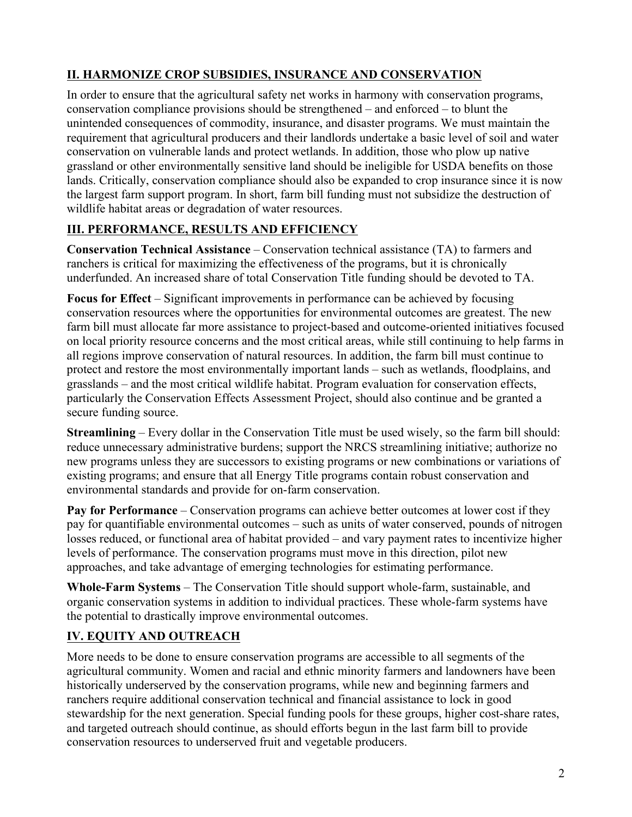# **II. HARMONIZE CROP SUBSIDIES, INSURANCE AND CONSERVATION**

In order to ensure that the agricultural safety net works in harmony with conservation programs, conservation compliance provisions should be strengthened – and enforced – to blunt the unintended consequences of commodity, insurance, and disaster programs. We must maintain the requirement that agricultural producers and their landlords undertake a basic level of soil and water conservation on vulnerable lands and protect wetlands. In addition, those who plow up native grassland or other environmentally sensitive land should be ineligible for USDA benefits on those lands. Critically, conservation compliance should also be expanded to crop insurance since it is now the largest farm support program. In short, farm bill funding must not subsidize the destruction of wildlife habitat areas or degradation of water resources.

### **III. PERFORMANCE, RESULTS AND EFFICIENCY**

**Conservation Technical Assistance** – Conservation technical assistance (TA) to farmers and ranchers is critical for maximizing the effectiveness of the programs, but it is chronically underfunded. An increased share of total Conservation Title funding should be devoted to TA.

**Focus for Effect** – Significant improvements in performance can be achieved by focusing conservation resources where the opportunities for environmental outcomes are greatest. The new farm bill must allocate far more assistance to project-based and outcome-oriented initiatives focused on local priority resource concerns and the most critical areas, while still continuing to help farms in all regions improve conservation of natural resources. In addition, the farm bill must continue to protect and restore the most environmentally important lands – such as wetlands, floodplains, and grasslands – and the most critical wildlife habitat. Program evaluation for conservation effects, particularly the Conservation Effects Assessment Project, should also continue and be granted a secure funding source.

**Streamlining** – Every dollar in the Conservation Title must be used wisely, so the farm bill should: reduce unnecessary administrative burdens; support the NRCS streamlining initiative; authorize no new programs unless they are successors to existing programs or new combinations or variations of existing programs; and ensure that all Energy Title programs contain robust conservation and environmental standards and provide for on-farm conservation.

**Pay for Performance** – Conservation programs can achieve better outcomes at lower cost if they pay for quantifiable environmental outcomes – such as units of water conserved, pounds of nitrogen losses reduced, or functional area of habitat provided – and vary payment rates to incentivize higher levels of performance. The conservation programs must move in this direction, pilot new approaches, and take advantage of emerging technologies for estimating performance.

**Whole-Farm Systems** – The Conservation Title should support whole-farm, sustainable, and organic conservation systems in addition to individual practices. These whole-farm systems have the potential to drastically improve environmental outcomes.

# **IV. EQUITY AND OUTREACH**

More needs to be done to ensure conservation programs are accessible to all segments of the agricultural community. Women and racial and ethnic minority farmers and landowners have been historically underserved by the conservation programs, while new and beginning farmers and ranchers require additional conservation technical and financial assistance to lock in good stewardship for the next generation. Special funding pools for these groups, higher cost-share rates, and targeted outreach should continue, as should efforts begun in the last farm bill to provide conservation resources to underserved fruit and vegetable producers.